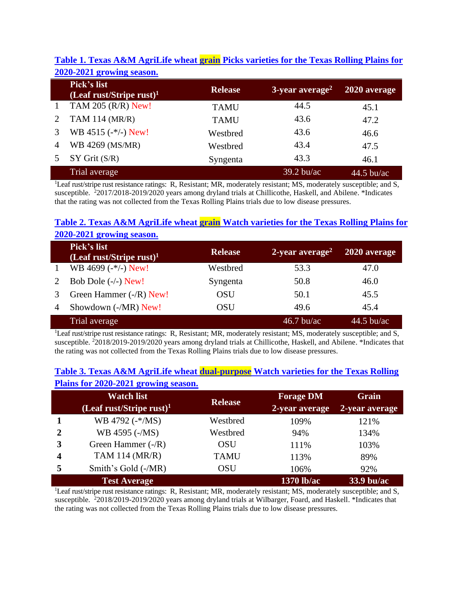|   | <i>L</i> UZU-ZUZT 21 OWIN2 SUASUN.                  |                |                                |                      |  |  |  |
|---|-----------------------------------------------------|----------------|--------------------------------|----------------------|--|--|--|
|   | Pick's list<br>(Leaf rust/Stripe rust) <sup>1</sup> | <b>Release</b> | $3$ -year average <sup>2</sup> | 2020 average         |  |  |  |
|   | TAM 205 (R/R) New!                                  | <b>TAMU</b>    | 44.5                           | 45.1                 |  |  |  |
|   | <b>TAM 114 (MR/R)</b>                               | <b>TAMU</b>    | 43.6                           | 47.2                 |  |  |  |
|   | WB 4515 (-*/-) New!                                 | Westbred       | 43.6                           | 46.6                 |  |  |  |
| 4 | WB 4269 (MS/MR)                                     | Westbred       | 43.4                           | 47.5                 |  |  |  |
|   | $SY$ Grit $(S/R)$                                   | Syngenta       | 43.3                           | 46.1                 |  |  |  |
|   | Trial average                                       |                | $39.2$ bu/ac                   | $44.5 \text{ bu/ac}$ |  |  |  |

**Table 1. Texas A&M AgriLife wheat grain [Picks varieties for the Texas Rolling Plains for](https://agrilife.org/txrollingplainsagronomy/wheat-3/)  2020-2021 [growing season.](https://agrilife.org/txrollingplainsagronomy/wheat-3/)**

<sup>1</sup>Leaf rust/stripe rust resistance ratings: R, Resistant; MR, moderately resistant; MS, moderately susceptible; and S, susceptible. <sup>2</sup>2017/2018-2019/2020 years among dryland trials at Chillicothe, Haskell, and Abilene. \*Indicates that the rating was not collected from the Texas Rolling Plains trials due to low disease pressures.

## **Table 2. Texas A&M AgriLife wheat grain [Watch varieties for the Texas Rolling Plains for](https://agrilife.org/txrollingplainsagronomy/wheat-3/)  [2020-2021 growing season.](https://agrilife.org/txrollingplainsagronomy/wheat-3/)**

|              | Pick's list<br>(Leaf rust/Stripe rust) <sup>1</sup> | <b>Release</b> | 2-year average <sup>2</sup> | $2020$ average       |
|--------------|-----------------------------------------------------|----------------|-----------------------------|----------------------|
| $\mathbf{1}$ | WB 4699 (-*/-) New!                                 | Westbred       | 53.3                        | 47.0                 |
|              | Bob Dole (-/-) New!                                 | Syngenta       | 50.8                        | 46.0                 |
| 3            | Green Hammer (-/R) New!                             | OSU            | 50.1                        | 45.5                 |
| 4            | Showdown (-/MR) New!                                | OSU            | 49.6                        | 45.4                 |
|              | Trial average                                       |                | $46.7$ bu/ac                | $44.5 \text{ bu/ac}$ |

<sup>1</sup>Leaf rust/stripe rust resistance ratings: R, Resistant; MR, moderately resistant; MS, moderately susceptible; and S, susceptible. <sup>2</sup>2018/2019-2019/2020 years among dryland trials at Chillicothe, Haskell, and Abilene. \*Indicates that the rating was not collected from the Texas Rolling Plains trials due to low disease pressures.

## **[Table 3. Texas A&M AgriLife wheat dual-purpose](https://www.youtube.com/playlist?list=PLQeRtwVwL1DNzYrU8wnpn4AcbqO2du2z2) Watch varieties for the Texas Rolling [Plains for 2020-2021 growing season.](https://www.youtube.com/playlist?list=PLQeRtwVwL1DNzYrU8wnpn4AcbqO2du2z2)**

|                | <b>Watch list</b><br>(Leaf rust/Stripe rust) <sup>1</sup> | <b>Release</b> | <b>Forage DM</b><br>2-year average | <b>Grain</b><br>2-year average |  |  |  |  |
|----------------|-----------------------------------------------------------|----------------|------------------------------------|--------------------------------|--|--|--|--|
|                | WB 4792 (-*/MS)                                           | Westbred       | 109%                               | 121%                           |  |  |  |  |
| $\overline{2}$ | WB 4595 (-/MS)                                            | Westbred       | 94%                                | 134%                           |  |  |  |  |
| 3              | Green Hammer $(-/R)$                                      | <b>OSU</b>     | 111%                               | 103%                           |  |  |  |  |
| 4              | <b>TAM 114 (MR/R)</b>                                     | <b>TAMU</b>    | 113%                               | 89%                            |  |  |  |  |
| 5              | Smith's Gold (-/MR)                                       | OSU            | 106%                               | 92%                            |  |  |  |  |
|                | <b>Test Average</b>                                       |                | 1370 lb/ac                         | 33.9 bu/ac                     |  |  |  |  |

<sup>1</sup>Leaf rust/stripe rust resistance ratings: R, Resistant; MR, moderately resistant; MS, moderately susceptible; and S, susceptible. <sup>2</sup>2018/2019-2019/2020 years among dryland trials at Wilbarger, Foard, and Haskell. \*Indicates that the rating was not collected from the Texas Rolling Plains trials due to low disease pressures.